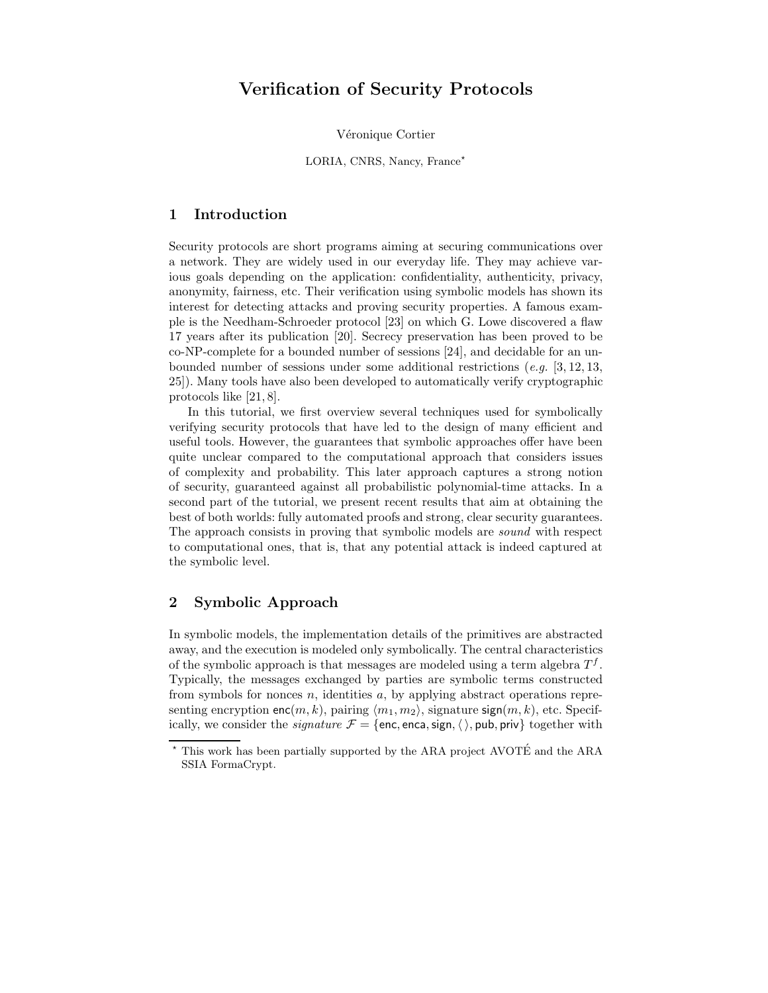# Verification of Security Protocols

Véronique Cortier

LORIA, CNRS, Nancy, France\*

# 1 Introduction

Security protocols are short programs aiming at securing communications over a network. They are widely used in our everyday life. They may achieve various goals depending on the application: confidentiality, authenticity, privacy, anonymity, fairness, etc. Their verification using symbolic models has shown its interest for detecting attacks and proving security properties. A famous example is the Needham-Schroeder protocol [23] on which G. Lowe discovered a flaw 17 years after its publication [20]. Secrecy preservation has been proved to be co-NP-complete for a bounded number of sessions [24], and decidable for an unbounded number of sessions under some additional restrictions (e.g.  $[3, 12, 13,$ 25]). Many tools have also been developed to automatically verify cryptographic protocols like [21, 8].

In this tutorial, we first overview several techniques used for symbolically verifying security protocols that have led to the design of many efficient and useful tools. However, the guarantees that symbolic approaches offer have been quite unclear compared to the computational approach that considers issues of complexity and probability. This later approach captures a strong notion of security, guaranteed against all probabilistic polynomial-time attacks. In a second part of the tutorial, we present recent results that aim at obtaining the best of both worlds: fully automated proofs and strong, clear security guarantees. The approach consists in proving that symbolic models are sound with respect to computational ones, that is, that any potential attack is indeed captured at the symbolic level.

# 2 Symbolic Approach

In symbolic models, the implementation details of the primitives are abstracted away, and the execution is modeled only symbolically. The central characteristics of the symbolic approach is that messages are modeled using a term algebra  $T<sup>f</sup>$ . Typically, the messages exchanged by parties are symbolic terms constructed from symbols for nonces  $n$ , identities  $a$ , by applying abstract operations representing encryption enc $(m, k)$ , pairing  $\langle m_1, m_2 \rangle$ , signature sign $(m, k)$ , etc. Specifically, we consider the *signature*  $\mathcal{F} = \{\text{enc}, \text{enc}, \text{sign}, \langle \rangle, \text{pub}, \text{priv}\}\$ together with

 $^\star$  This work has been partially supported by the ARA project AVOTÉ and the ARA SSIA FormaCrypt.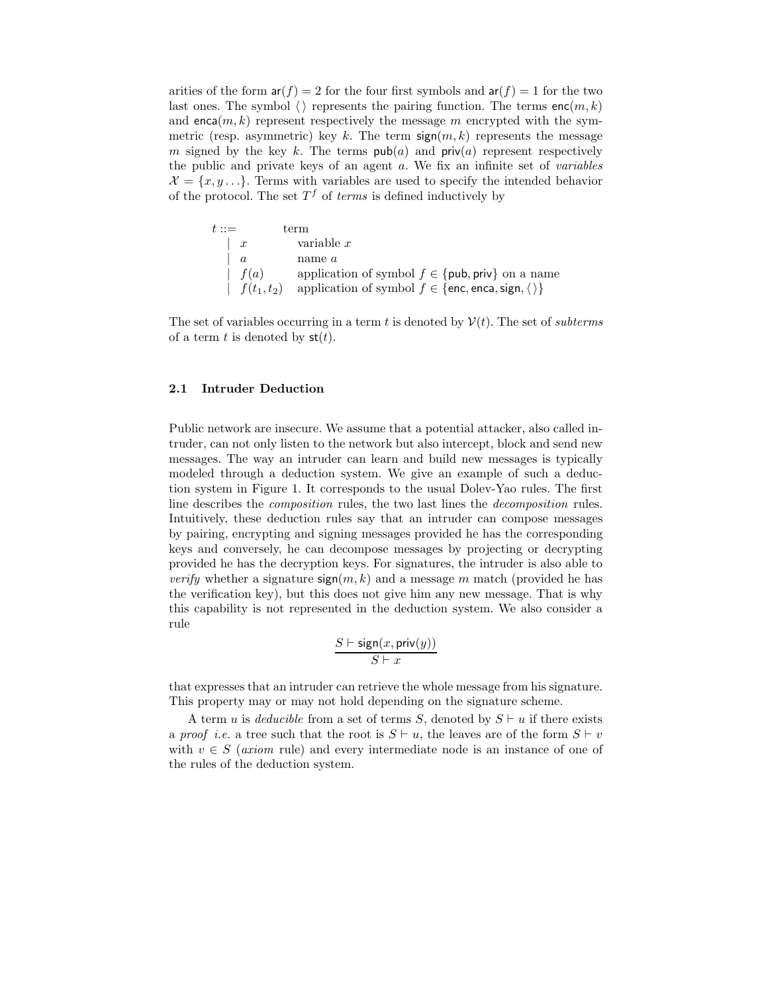arities of the form  $ar(f) = 2$  for the four first symbols and  $ar(f) = 1$  for the two last ones. The symbol  $\langle \rangle$  represents the pairing function. The terms enc $(m, k)$ and enca $(m, k)$  represent respectively the message m encrypted with the symmetric (resp. asymmetric) key k. The term  $sign(m, k)$  represents the message m signed by the key k. The terms  $\mathsf{pub}(a)$  and  $\mathsf{priv}(a)$  represent respectively the public and private keys of an agent a. We fix an infinite set of variables  $\mathcal{X} = \{x, y, \ldots\}$ . Terms with variables are used to specify the intended behavior of the protocol. The set  $T^f$  of *terms* is defined inductively by

| $t ::=$       | term                                                                                    |
|---------------|-----------------------------------------------------------------------------------------|
| $x$           | variable $x$                                                                            |
| $a$           | name $a$                                                                                |
| $f(a)$        | application of symbol $f \in \{\text{pub}, \text{priv}\}$ on a name                     |
| $f(t_1, t_2)$ | application of symbol $f \in \{\text{enc}, \text{enca}, \text{sign}, \langle \rangle\}$ |

The set of variables occurring in a term t is denoted by  $\mathcal{V}(t)$ . The set of subterms of a term t is denoted by  $\mathsf{st}(t)$ .

#### 2.1 Intruder Deduction

Public network are insecure. We assume that a potential attacker, also called intruder, can not only listen to the network but also intercept, block and send new messages. The way an intruder can learn and build new messages is typically modeled through a deduction system. We give an example of such a deduction system in Figure 1. It corresponds to the usual Dolev-Yao rules. The first line describes the composition rules, the two last lines the decomposition rules. Intuitively, these deduction rules say that an intruder can compose messages by pairing, encrypting and signing messages provided he has the corresponding keys and conversely, he can decompose messages by projecting or decrypting provided he has the decryption keys. For signatures, the intruder is also able to *verify* whether a signature  $sign(m, k)$  and a message m match (provided he has the verification key), but this does not give him any new message. That is why this capability is not represented in the deduction system. We also consider a rule

$$
\frac{S \vdash \mathsf{sign}(x,\mathsf{priv}(y))}{S \vdash x}
$$

that expresses that an intruder can retrieve the whole message from his signature. This property may or may not hold depending on the signature scheme.

A term u is *deducible* from a set of terms S, denoted by  $S \vdash u$  if there exists a proof i.e. a tree such that the root is  $S \vdash u$ , the leaves are of the form  $S \vdash v$ with  $v \in S$  (axiom rule) and every intermediate node is an instance of one of the rules of the deduction system.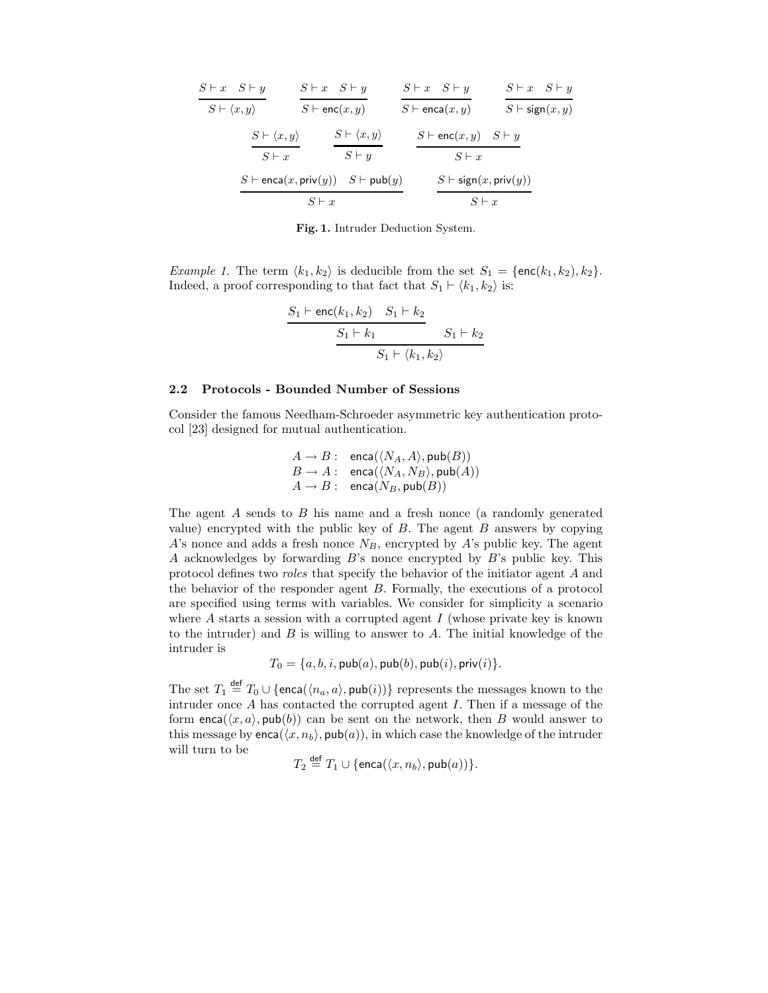| $S \vdash x \quad S \vdash y$   | $S \vdash x \quad S \vdash y$                                  |                                 | $S \vdash x \quad S \vdash y$                 | $S \vdash x \quad S \vdash y$  |  |
|---------------------------------|----------------------------------------------------------------|---------------------------------|-----------------------------------------------|--------------------------------|--|
| $S \vdash \langle x, y \rangle$ | $S \vdash$ enc $(x, y)$                                        |                                 | $S \vdash$ enca $(x, y)$                      | $S \vdash \mathsf{sign}(x, y)$ |  |
|                                 | $S \vdash \langle x, y \rangle$                                | $S \vdash \langle x, y \rangle$ | $S \vdash$ enc $(x, y)$ $S \vdash y$          |                                |  |
|                                 | $S \vdash x$                                                   | $S \vdash y$                    | $S \vdash x$                                  |                                |  |
|                                 | $S \vdash$ enca $(x, \text{priv}(y))$ $S \vdash \text{pub}(y)$ |                                 | $S \vdash \mathsf{sign}(x, \mathsf{priv}(y))$ |                                |  |
| $S \vdash x$                    |                                                                |                                 | $S \vdash x$                                  |                                |  |

Fig. 1. Intruder Deduction System.

*Example 1.* The term  $\langle k_1, k_2 \rangle$  is deducible from the set  $S_1 = \{\text{enc}(k_1, k_2), k_2\}.$ Indeed, a proof corresponding to that fact that  $S_1 \vdash \langle k_1, k_2 \rangle$  is:

$$
\frac{S_1 \vdash \textsf{enc}(k_1, k_2) \quad S_1 \vdash k_2}{S_1 \vdash k_1} \qquad S_1 \vdash k_2
$$
  

$$
S_1 \vdash \langle k_1, k_2 \rangle
$$

#### 2.2 Protocols - Bounded Number of Sessions

Consider the famous Needham-Schroeder asymmetric key authentication protocol [23] designed for mutual authentication.

$$
A \rightarrow B: \quad \text{enca}(\langle N_A, A \rangle, \text{pub}(B))
$$
  

$$
B \rightarrow A: \quad \text{enca}(\langle N_A, N_B \rangle, \text{pub}(A))
$$
  

$$
A \rightarrow B: \quad \text{enca}(N_B, \text{pub}(B))
$$

The agent A sends to B his name and a fresh nonce (a randomly generated value) encrypted with the public key of  $B$ . The agent  $B$  answers by copying A's nonce and adds a fresh nonce  $N_B$ , encrypted by A's public key. The agent A acknowledges by forwarding  $B$ 's nonce encrypted by  $B$ 's public key. This protocol defines two roles that specify the behavior of the initiator agent A and the behavior of the responder agent B. Formally, the executions of a protocol are specified using terms with variables. We consider for simplicity a scenario where  $A$  starts a session with a corrupted agent  $I$  (whose private key is known to the intruder) and  $B$  is willing to answer to  $A$ . The initial knowledge of the intruder is

$$
T_0 = \{a, b, i, \mathsf{pub}(a), \mathsf{pub}(b), \mathsf{pub}(i), \mathsf{priv}(i)\}.
$$

The set  $T_1 \stackrel{\text{def}}{=} T_0 \cup \{\text{enca}(\langle n_a, a \rangle, \text{pub}(i))\}$  represents the messages known to the intruder once  $\overrightarrow{A}$  has contacted the corrupted agent  $\overrightarrow{I}$ . Then if a message of the form enca( $\langle x, a \rangle$ , pub(b)) can be sent on the network, then B would answer to this message by  $\mathsf{enca}(\langle x, n_b \rangle, \mathsf{pub}(a))$ , in which case the knowledge of the intruder will turn to be

$$
T_2 \stackrel{\text{def}}{=} T_1 \cup \{\text{enca}(\langle x, n_b \rangle, \text{pub}(a))\}.
$$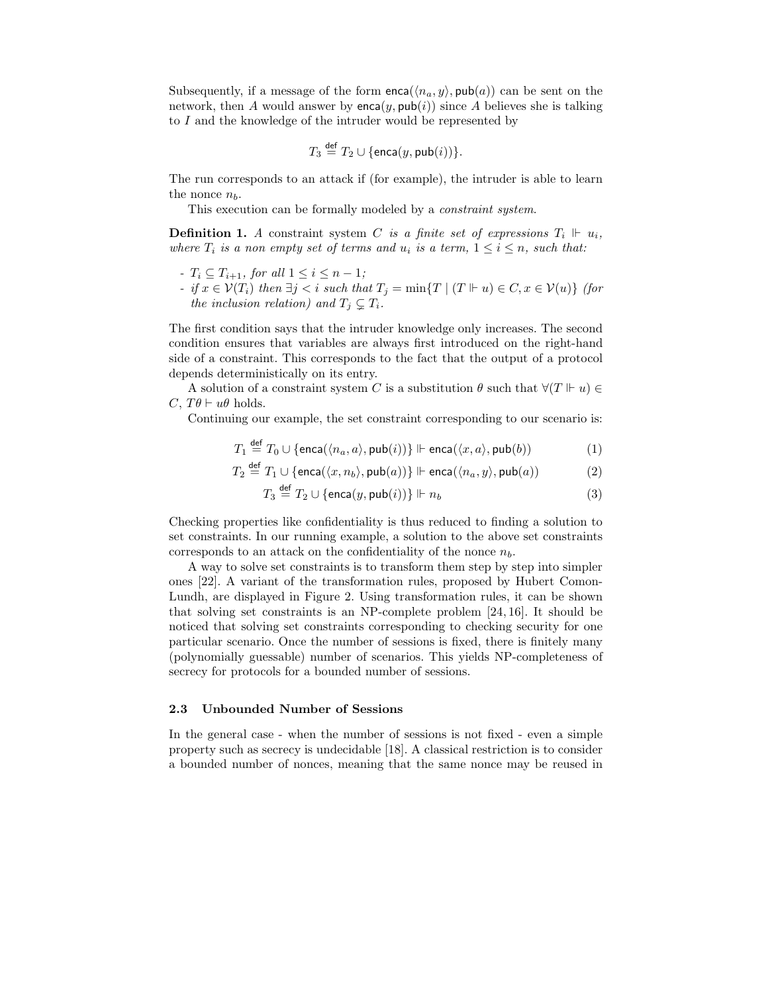Subsequently, if a message of the form  $enca(\langle n_a, y \rangle, \text{pub}(a))$  can be sent on the network, then A would answer by  $enca(y, pub(i))$  since A believes she is talking to I and the knowledge of the intruder would be represented by

$$
T_3 \stackrel{\text{def}}{=} T_2 \cup \{\text{enca}(y, \text{pub}(i))\}.
$$

The run corresponds to an attack if (for example), the intruder is able to learn the nonce  $n_b$ .

This execution can be formally modeled by a constraint system.

**Definition 1.** A constraint system C is a finite set of expressions  $T_i \Vdash u_i$ , where  $T_i$  is a non empty set of terms and  $u_i$  is a term,  $1 \leq i \leq n$ , such that:

- $-T_i \subseteq T_{i+1}$ , for all  $1 \leq i \leq n-1$ ;
- if  $x \in \mathcal{V}(T_i)$  then  $\exists j < i$  such that  $T_j = \min\{T \mid (T \Vdash u) \in C, x \in \mathcal{V}(u)\}$  (for the inclusion relation) and  $T_j \subsetneq T_i$ .

The first condition says that the intruder knowledge only increases. The second condition ensures that variables are always first introduced on the right-hand side of a constraint. This corresponds to the fact that the output of a protocol depends deterministically on its entry.

A solution of a constraint system C is a substitution  $\theta$  such that  $\forall (T \Vdash u) \in$ C,  $T\theta \vdash u\theta$  holds.

Continuing our example, the set constraint corresponding to our scenario is:

$$
T_1 \stackrel{\text{def}}{=} T_0 \cup \{\text{enca}(\langle n_a, a \rangle, \text{pub}(i))\} \Vdash \text{enca}(\langle x, a \rangle, \text{pub}(b)) \tag{1}
$$

$$
T_2 \stackrel{\text{def}}{=} T_1 \cup \{\text{enca}(\langle x, n_b \rangle, \text{pub}(a))\} \Vdash \text{enca}(\langle n_a, y \rangle, \text{pub}(a))
$$
 (2)

$$
T_3 \stackrel{\text{def}}{=} T_2 \cup \{\text{enca}(y, \text{pub}(i))\} \Vdash n_b \tag{3}
$$

Checking properties like confidentiality is thus reduced to finding a solution to set constraints. In our running example, a solution to the above set constraints corresponds to an attack on the confidentiality of the nonce  $n_b$ .

A way to solve set constraints is to transform them step by step into simpler ones [22]. A variant of the transformation rules, proposed by Hubert Comon-Lundh, are displayed in Figure 2. Using transformation rules, it can be shown that solving set constraints is an NP-complete problem [24, 16]. It should be noticed that solving set constraints corresponding to checking security for one particular scenario. Once the number of sessions is fixed, there is finitely many (polynomially guessable) number of scenarios. This yields NP-completeness of secrecy for protocols for a bounded number of sessions.

#### 2.3 Unbounded Number of Sessions

In the general case - when the number of sessions is not fixed - even a simple property such as secrecy is undecidable [18]. A classical restriction is to consider a bounded number of nonces, meaning that the same nonce may be reused in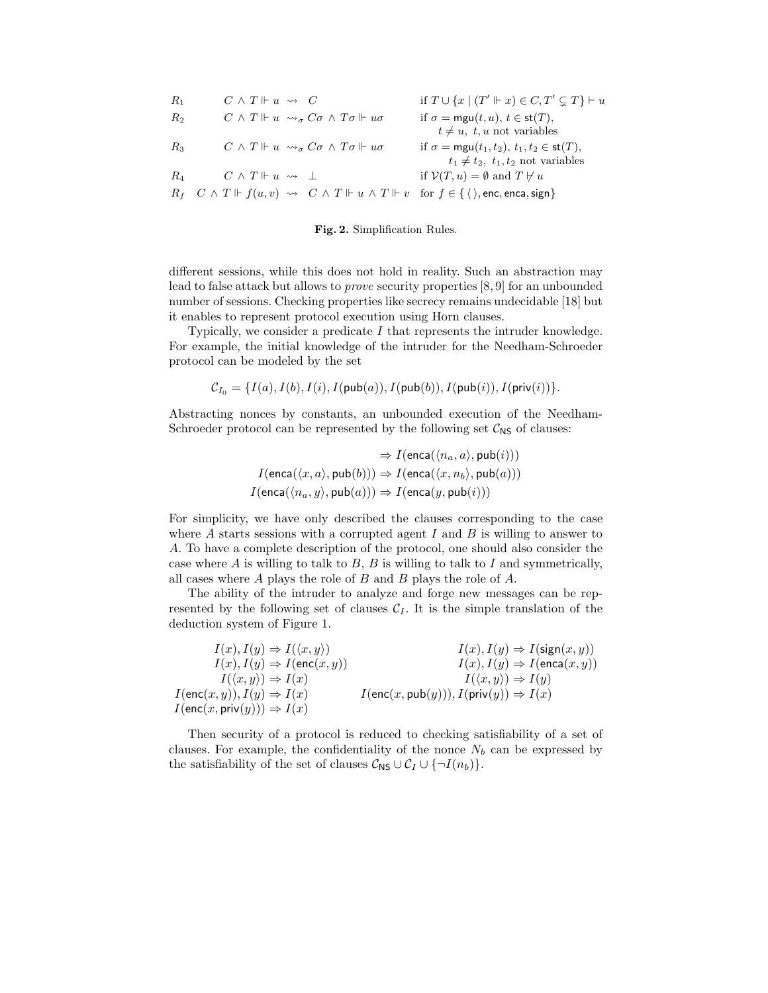| $R_1$ | $C \wedge T \Vdash u \rightsquigarrow C$                                                                                                                                         | if $T \cup \{x \mid (T' \Vdash x) \in C, T' \subseteq T\} \vdash u$ |
|-------|----------------------------------------------------------------------------------------------------------------------------------------------------------------------------------|---------------------------------------------------------------------|
| $R_2$ | $C \wedge T \Vdash u \leadsto_{\sigma} C\sigma \wedge T\sigma \Vdash u\sigma$                                                                                                    | if $\sigma = \text{mgu}(t, u), t \in \text{st}(T)$ ,                |
|       |                                                                                                                                                                                  | $t \neq u$ , $t, u$ not variables                                   |
| $R_3$ | $C \wedge T \Vdash u \leadsto_{\sigma} C\sigma \wedge T\sigma \Vdash u\sigma$                                                                                                    | if $\sigma = \text{mgu}(t_1, t_2), t_1, t_2 \in \text{st}(T)$ ,     |
|       |                                                                                                                                                                                  | $t_1 \neq t_2$ , $t_1, t_2$ not variables                           |
| Ra    | $C \wedge T \Vdash u \leadsto \bot$                                                                                                                                              | if $V(T, u) = \emptyset$ and $T \not\vdash u$                       |
|       | $R_f \quad C \wedge T \Vdash f(u, v) \rightsquigarrow C \wedge T \Vdash u \wedge T \Vdash v \quad \text{for } f \in \{ \langle \rangle, \text{enc}, \text{enca}, \text{sign} \}$ |                                                                     |

Fig. 2. Simplification Rules.

different sessions, while this does not hold in reality. Such an abstraction may lead to false attack but allows to prove security properties [8, 9] for an unbounded number of sessions. Checking properties like secrecy remains undecidable [18] but it enables to represent protocol execution using Horn clauses.

Typically, we consider a predicate I that represents the intruder knowledge. For example, the initial knowledge of the intruder for the Needham-Schroeder protocol can be modeled by the set

$$
\mathcal{C}_{I_0} = \{I(a), I(b), I(i), I(\mathsf{pub}(a)), I(\mathsf{pub}(b)), I(\mathsf{pub}(i)), I(\mathsf{priv}(i))\}.
$$

Abstracting nonces by constants, an unbounded execution of the Needham-Schroeder protocol can be represented by the following set  $C_{\text{NS}}$  of clauses:

$$
\Rightarrow I(\textsf{enca}(\langle n_a, a \rangle, \textsf{pub}(i)))
$$
  

$$
I(\textsf{enca}(\langle x, a \rangle, \textsf{pub}(b))) \Rightarrow I(\textsf{enca}(\langle x, n_b \rangle, \textsf{pub}(a)))
$$
  

$$
I(\textsf{enca}(\langle n_a, y \rangle, \textsf{pub}(a))) \Rightarrow I(\textsf{enca}(y, \textsf{pub}(i)))
$$

For simplicity, we have only described the clauses corresponding to the case where  $A$  starts sessions with a corrupted agent  $I$  and  $B$  is willing to answer to A. To have a complete description of the protocol, one should also consider the case where  $A$  is willing to talk to  $B$ ,  $B$  is willing to talk to  $I$  and symmetrically, all cases where A plays the role of B and B plays the role of A.

The ability of the intruder to analyze and forge new messages can be represented by the following set of clauses  $C_I$ . It is the simple translation of the deduction system of Figure 1.

 $I(x), I(y) \Rightarrow I(\langle x, y \rangle)$   $I(x), I(y) \Rightarrow I(\text{sign}(x, y))$  $I(x), I(y) \Rightarrow I(\mathsf{enc}(x, y))$   $I(x), I(y) \Rightarrow I(\mathsf{enca}(x, y))$  $I(\langle x, y \rangle) \Rightarrow I(x)$   $I(\langle x, y \rangle) \Rightarrow I(y)$  $I(\mathsf{enc}(x, y)), I(y) \Rightarrow I(x)$   $I(\mathsf{enc}(x, \mathsf{pub}(y))), I(\mathsf{priv}(y)) \Rightarrow I(x)$  $I(\mathsf{enc}(x, \mathsf{priv}(y))) \Rightarrow I(x)$ 

Then security of a protocol is reduced to checking satisfiability of a set of clauses. For example, the confidentiality of the nonce  $N_b$  can be expressed by the satisfiability of the set of clauses  $\mathcal{C}_{\text{NS}} \cup \mathcal{C}_I \cup \{\neg I(n_b)\}.$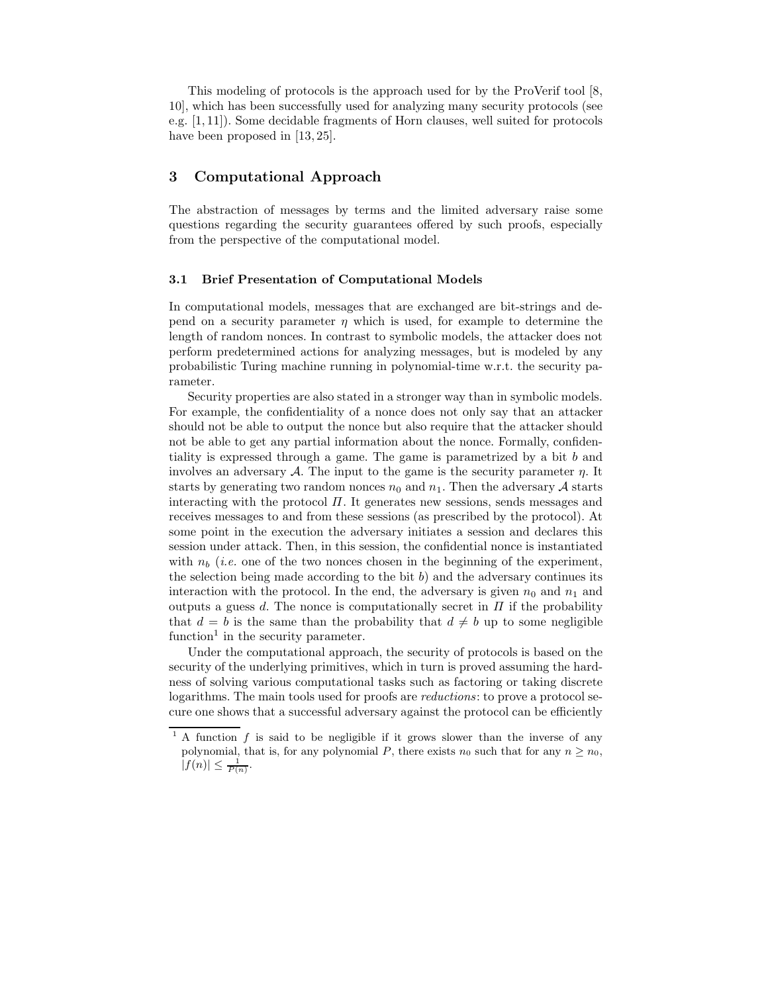This modeling of protocols is the approach used for by the ProVerif tool [8, 10], which has been successfully used for analyzing many security protocols (see e.g. [1, 11]). Some decidable fragments of Horn clauses, well suited for protocols have been proposed in [13, 25].

# 3 Computational Approach

The abstraction of messages by terms and the limited adversary raise some questions regarding the security guarantees offered by such proofs, especially from the perspective of the computational model.

#### 3.1 Brief Presentation of Computational Models

In computational models, messages that are exchanged are bit-strings and depend on a security parameter  $\eta$  which is used, for example to determine the length of random nonces. In contrast to symbolic models, the attacker does not perform predetermined actions for analyzing messages, but is modeled by any probabilistic Turing machine running in polynomial-time w.r.t. the security parameter.

Security properties are also stated in a stronger way than in symbolic models. For example, the confidentiality of a nonce does not only say that an attacker should not be able to output the nonce but also require that the attacker should not be able to get any partial information about the nonce. Formally, confidentiality is expressed through a game. The game is parametrized by a bit b and involves an adversary A. The input to the game is the security parameter  $\eta$ . It starts by generating two random nonces  $n_0$  and  $n_1$ . Then the adversary A starts interacting with the protocol  $\Pi$ . It generates new sessions, sends messages and receives messages to and from these sessions (as prescribed by the protocol). At some point in the execution the adversary initiates a session and declares this session under attack. Then, in this session, the confidential nonce is instantiated with  $n_b$  (*i.e.* one of the two nonces chosen in the beginning of the experiment, the selection being made according to the bit  $b$ ) and the adversary continues its interaction with the protocol. In the end, the adversary is given  $n_0$  and  $n_1$  and outputs a guess d. The nonce is computationally secret in  $\Pi$  if the probability that  $d = b$  is the same than the probability that  $d \neq b$  up to some negligible function<sup>1</sup> in the security parameter.

Under the computational approach, the security of protocols is based on the security of the underlying primitives, which in turn is proved assuming the hardness of solving various computational tasks such as factoring or taking discrete logarithms. The main tools used for proofs are *reductions*: to prove a protocol secure one shows that a successful adversary against the protocol can be efficiently

<sup>&</sup>lt;sup>1</sup> A function  $f$  is said to be negligible if it grows slower than the inverse of any polynomial, that is, for any polynomial P, there exists  $n_0$  such that for any  $n \geq n_0$ ,  $|f(n)| \leq \frac{1}{P(n)}$ .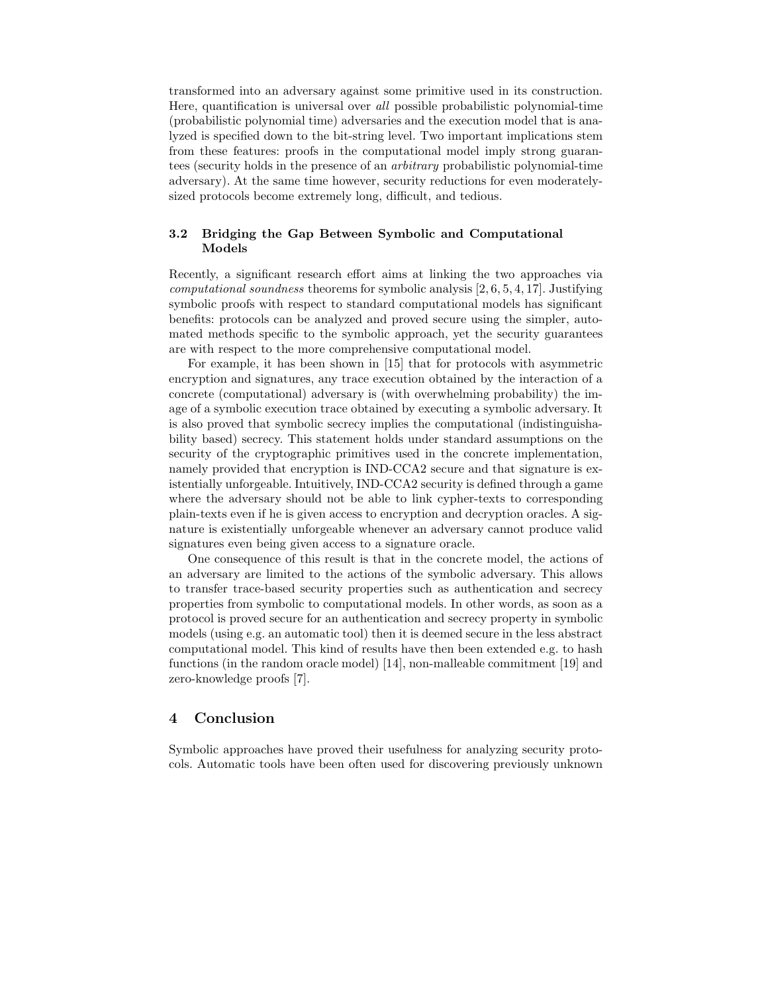transformed into an adversary against some primitive used in its construction. Here, quantification is universal over all possible probabilistic polynomial-time (probabilistic polynomial time) adversaries and the execution model that is analyzed is specified down to the bit-string level. Two important implications stem from these features: proofs in the computational model imply strong guarantees (security holds in the presence of an arbitrary probabilistic polynomial-time adversary). At the same time however, security reductions for even moderatelysized protocols become extremely long, difficult, and tedious.

#### 3.2 Bridging the Gap Between Symbolic and Computational Models

Recently, a significant research effort aims at linking the two approaches via computational soundness theorems for symbolic analysis [2, 6, 5, 4, 17]. Justifying symbolic proofs with respect to standard computational models has significant benefits: protocols can be analyzed and proved secure using the simpler, automated methods specific to the symbolic approach, yet the security guarantees are with respect to the more comprehensive computational model.

For example, it has been shown in [15] that for protocols with asymmetric encryption and signatures, any trace execution obtained by the interaction of a concrete (computational) adversary is (with overwhelming probability) the image of a symbolic execution trace obtained by executing a symbolic adversary. It is also proved that symbolic secrecy implies the computational (indistinguishability based) secrecy. This statement holds under standard assumptions on the security of the cryptographic primitives used in the concrete implementation, namely provided that encryption is IND-CCA2 secure and that signature is existentially unforgeable. Intuitively, IND-CCA2 security is defined through a game where the adversary should not be able to link cypher-texts to corresponding plain-texts even if he is given access to encryption and decryption oracles. A signature is existentially unforgeable whenever an adversary cannot produce valid signatures even being given access to a signature oracle.

One consequence of this result is that in the concrete model, the actions of an adversary are limited to the actions of the symbolic adversary. This allows to transfer trace-based security properties such as authentication and secrecy properties from symbolic to computational models. In other words, as soon as a protocol is proved secure for an authentication and secrecy property in symbolic models (using e.g. an automatic tool) then it is deemed secure in the less abstract computational model. This kind of results have then been extended e.g. to hash functions (in the random oracle model) [14], non-malleable commitment [19] and zero-knowledge proofs [7].

### 4 Conclusion

Symbolic approaches have proved their usefulness for analyzing security protocols. Automatic tools have been often used for discovering previously unknown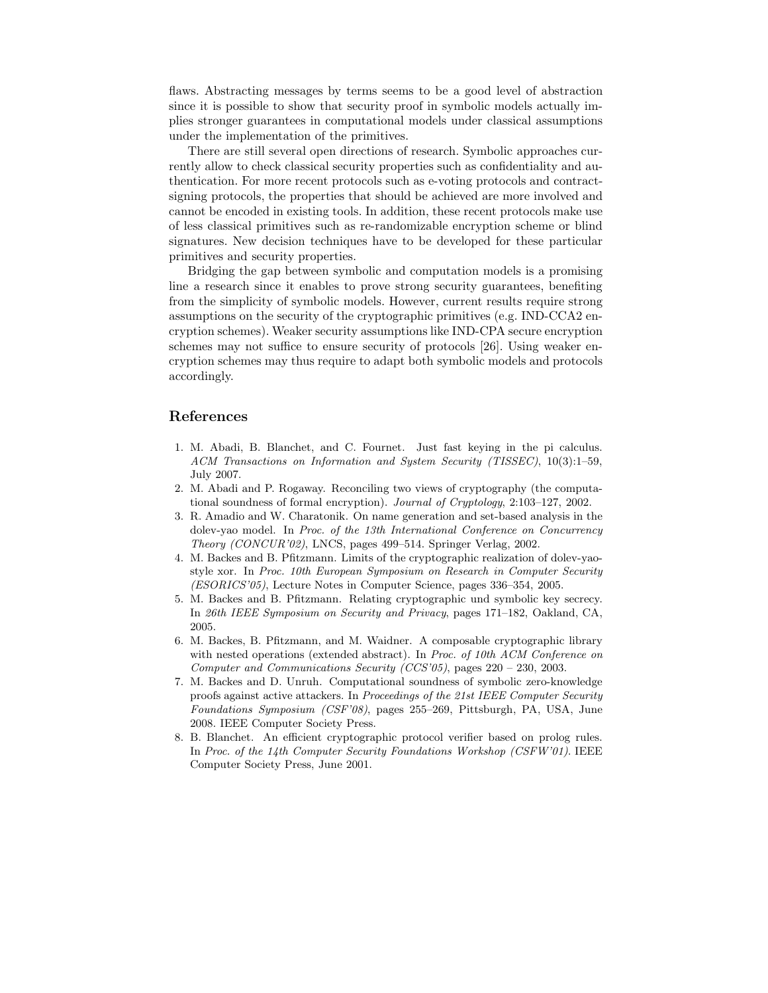flaws. Abstracting messages by terms seems to be a good level of abstraction since it is possible to show that security proof in symbolic models actually implies stronger guarantees in computational models under classical assumptions under the implementation of the primitives.

There are still several open directions of research. Symbolic approaches currently allow to check classical security properties such as confidentiality and authentication. For more recent protocols such as e-voting protocols and contractsigning protocols, the properties that should be achieved are more involved and cannot be encoded in existing tools. In addition, these recent protocols make use of less classical primitives such as re-randomizable encryption scheme or blind signatures. New decision techniques have to be developed for these particular primitives and security properties.

Bridging the gap between symbolic and computation models is a promising line a research since it enables to prove strong security guarantees, benefiting from the simplicity of symbolic models. However, current results require strong assumptions on the security of the cryptographic primitives (e.g. IND-CCA2 encryption schemes). Weaker security assumptions like IND-CPA secure encryption schemes may not suffice to ensure security of protocols [26]. Using weaker encryption schemes may thus require to adapt both symbolic models and protocols accordingly.

### References

- 1. M. Abadi, B. Blanchet, and C. Fournet. Just fast keying in the pi calculus. ACM Transactions on Information and System Security (TISSEC), 10(3):1–59, July 2007.
- 2. M. Abadi and P. Rogaway. Reconciling two views of cryptography (the computational soundness of formal encryption). Journal of Cryptology, 2:103–127, 2002.
- 3. R. Amadio and W. Charatonik. On name generation and set-based analysis in the dolev-yao model. In Proc. of the 13th International Conference on Concurrency Theory (CONCUR'02), LNCS, pages 499–514. Springer Verlag, 2002.
- 4. M. Backes and B. Pfitzmann. Limits of the cryptographic realization of dolev-yaostyle xor. In Proc. 10th European Symposium on Research in Computer Security (ESORICS'05), Lecture Notes in Computer Science, pages 336–354, 2005.
- 5. M. Backes and B. Pfitzmann. Relating cryptographic und symbolic key secrecy. In 26th IEEE Symposium on Security and Privacy, pages 171–182, Oakland, CA, 2005.
- 6. M. Backes, B. Pfitzmann, and M. Waidner. A composable cryptographic library with nested operations (extended abstract). In Proc. of 10th ACM Conference on Computer and Communications Security (CCS'05), pages 220 – 230, 2003.
- 7. M. Backes and D. Unruh. Computational soundness of symbolic zero-knowledge proofs against active attackers. In Proceedings of the 21st IEEE Computer Security Foundations Symposium (CSF'08), pages 255–269, Pittsburgh, PA, USA, June 2008. IEEE Computer Society Press.
- 8. B. Blanchet. An efficient cryptographic protocol verifier based on prolog rules. In Proc. of the 14th Computer Security Foundations Workshop (CSFW'01). IEEE Computer Society Press, June 2001.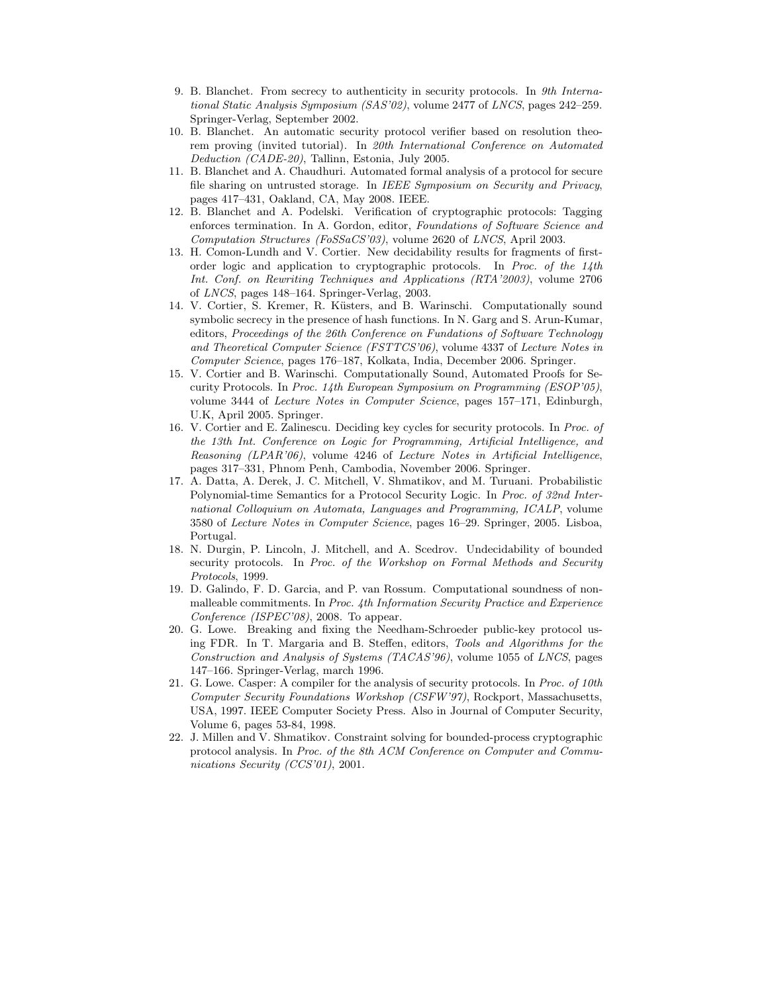- 9. B. Blanchet. From secrecy to authenticity in security protocols. In 9th International Static Analysis Symposium (SAS'02), volume 2477 of LNCS, pages 242–259. Springer-Verlag, September 2002.
- 10. B. Blanchet. An automatic security protocol verifier based on resolution theorem proving (invited tutorial). In 20th International Conference on Automated Deduction (CADE-20), Tallinn, Estonia, July 2005.
- 11. B. Blanchet and A. Chaudhuri. Automated formal analysis of a protocol for secure file sharing on untrusted storage. In IEEE Symposium on Security and Privacy, pages 417–431, Oakland, CA, May 2008. IEEE.
- 12. B. Blanchet and A. Podelski. Verification of cryptographic protocols: Tagging enforces termination. In A. Gordon, editor, Foundations of Software Science and Computation Structures (FoSSaCS'03), volume 2620 of LNCS, April 2003.
- 13. H. Comon-Lundh and V. Cortier. New decidability results for fragments of firstorder logic and application to cryptographic protocols. In Proc. of the 14th Int. Conf. on Rewriting Techniques and Applications (RTA'2003), volume 2706 of LNCS, pages 148–164. Springer-Verlag, 2003.
- 14. V. Cortier, S. Kremer, R. Küsters, and B. Warinschi. Computationally sound symbolic secrecy in the presence of hash functions. In N. Garg and S. Arun-Kumar, editors, Proceedings of the 26th Conference on Fundations of Software Technology and Theoretical Computer Science (FSTTCS'06), volume 4337 of Lecture Notes in Computer Science, pages 176–187, Kolkata, India, December 2006. Springer.
- 15. V. Cortier and B. Warinschi. Computationally Sound, Automated Proofs for Security Protocols. In Proc. 14th European Symposium on Programming (ESOP'05), volume 3444 of Lecture Notes in Computer Science, pages 157–171, Edinburgh, U.K, April 2005. Springer.
- 16. V. Cortier and E. Zalinescu. Deciding key cycles for security protocols. In Proc. of the 13th Int. Conference on Logic for Programming, Artificial Intelligence, and Reasoning (LPAR'06), volume 4246 of Lecture Notes in Artificial Intelligence, pages 317–331, Phnom Penh, Cambodia, November 2006. Springer.
- 17. A. Datta, A. Derek, J. C. Mitchell, V. Shmatikov, and M. Turuani. Probabilistic Polynomial-time Semantics for a Protocol Security Logic. In Proc. of 32nd International Colloquium on Automata, Languages and Programming, ICALP, volume 3580 of Lecture Notes in Computer Science, pages 16–29. Springer, 2005. Lisboa, Portugal.
- 18. N. Durgin, P. Lincoln, J. Mitchell, and A. Scedrov. Undecidability of bounded security protocols. In Proc. of the Workshop on Formal Methods and Security Protocols, 1999.
- 19. D. Galindo, F. D. Garcia, and P. van Rossum. Computational soundness of nonmalleable commitments. In Proc. 4th Information Security Practice and Experience Conference (ISPEC'08), 2008. To appear.
- 20. G. Lowe. Breaking and fixing the Needham-Schroeder public-key protocol using FDR. In T. Margaria and B. Steffen, editors, Tools and Algorithms for the Construction and Analysis of Systems (TACAS'96), volume 1055 of LNCS, pages 147–166. Springer-Verlag, march 1996.
- 21. G. Lowe. Casper: A compiler for the analysis of security protocols. In Proc. of 10th Computer Security Foundations Workshop (CSFW'97), Rockport, Massachusetts, USA, 1997. IEEE Computer Society Press. Also in Journal of Computer Security, Volume 6, pages 53-84, 1998.
- 22. J. Millen and V. Shmatikov. Constraint solving for bounded-process cryptographic protocol analysis. In Proc. of the 8th ACM Conference on Computer and Communications Security (CCS'01), 2001.